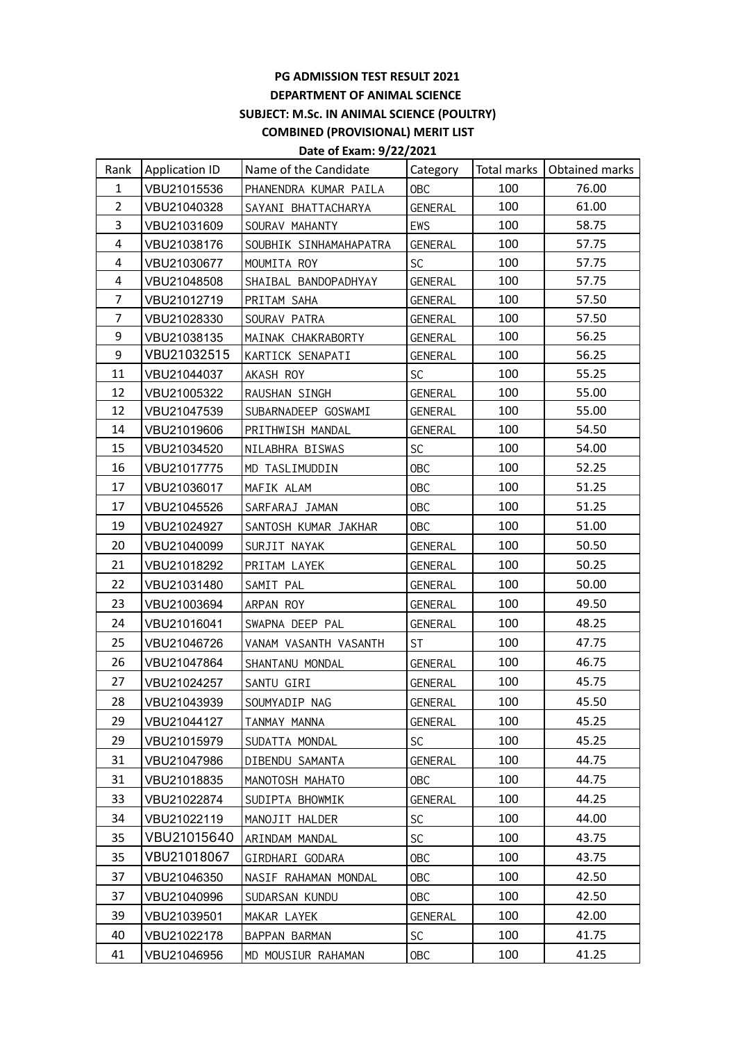## **PG ADMISSION TEST RESULT 2021 DEPARTMENT OF ANIMAL SCIENCE SUBJECT: M.Sc. IN ANIMAL SCIENCE (POULTRY) COMBINED (PROVISIONAL) MERIT LIST**

## **Date of Exam: 9/22/2021**

| Rank           | Application ID | Name of the Candidate  | Category   |     | Total marks   Obtained marks |
|----------------|----------------|------------------------|------------|-----|------------------------------|
| $\mathbf{1}$   | VBU21015536    | PHANENDRA KUMAR PAILA  | <b>OBC</b> | 100 | 76.00                        |
| $\overline{2}$ | VBU21040328    | SAYANI BHATTACHARYA    | GENERAL    | 100 | 61.00                        |
| 3              | VBU21031609    | SOURAV MAHANTY         | EWS        | 100 | 58.75                        |
| 4              | VBU21038176    | SOUBHIK SINHAMAHAPATRA | GENERAL    | 100 | 57.75                        |
| 4              | VBU21030677    | MOUMITA ROY            | <b>SC</b>  | 100 | 57.75                        |
| 4              | VBU21048508    | SHAIBAL BANDOPADHYAY   | GENERAL    | 100 | 57.75                        |
| 7              | VBU21012719    | PRITAM SAHA            | GENERAL    | 100 | 57.50                        |
| 7              | VBU21028330    | SOURAV PATRA           | GENERAL    | 100 | 57.50                        |
| 9              | VBU21038135    | MAINAK CHAKRABORTY     | GENERAL    | 100 | 56.25                        |
| 9              | VBU21032515    | KARTICK SENAPATI       | GENERAL    | 100 | 56.25                        |
| 11             | VBU21044037    | AKASH ROY              | <b>SC</b>  | 100 | 55.25                        |
| 12             | VBU21005322    | RAUSHAN SINGH          | GENERAL    | 100 | 55.00                        |
| 12             | VBU21047539    | SUBARNADEEP GOSWAMI    | GENERAL    | 100 | 55.00                        |
| 14             | VBU21019606    | PRITHWISH MANDAL       | GENERAL    | 100 | 54.50                        |
| 15             | VBU21034520    | NILABHRA BISWAS        | <b>SC</b>  | 100 | 54.00                        |
| 16             | VBU21017775    | MD TASLIMUDDIN         | <b>OBC</b> | 100 | 52.25                        |
| 17             | VBU21036017    | MAFIK ALAM             | <b>OBC</b> | 100 | 51.25                        |
| 17             | VBU21045526    | SARFARAJ JAMAN         | <b>OBC</b> | 100 | 51.25                        |
| 19             | VBU21024927    | SANTOSH KUMAR JAKHAR   | <b>OBC</b> | 100 | 51.00                        |
| 20             | VBU21040099    | SURJIT NAYAK           | GENERAL    | 100 | 50.50                        |
| 21             | VBU21018292    | PRITAM LAYEK           | GENERAL    | 100 | 50.25                        |
| 22             | VBU21031480    | SAMIT PAL              | GENERAL    | 100 | 50.00                        |
| 23             | VBU21003694    | ARPAN ROY              | GENERAL    | 100 | 49.50                        |
| 24             | VBU21016041    | SWAPNA DEEP PAL        | GENERAL    | 100 | 48.25                        |
| 25             | VBU21046726    | VANAM VASANTH VASANTH  | <b>ST</b>  | 100 | 47.75                        |
| 26             | VBU21047864    | SHANTANU MONDAL        | GENERAL    | 100 | 46.75                        |
| 27             | VBU21024257    | SANTU GIRI             | GENERAL    | 100 | 45.75                        |
| 28             | VBU21043939    | SOUMYADIP NAG          | GENERAL    | 100 | 45.50                        |
| 29             | VBU21044127    | TANMAY MANNA           | GENERAL    | 100 | 45.25                        |
| 29             | VBU21015979    | SUDATTA MONDAL         | <b>SC</b>  | 100 | 45.25                        |
| 31             | VBU21047986    | DIBENDU SAMANTA        | GENERAL    | 100 | 44.75                        |
| 31             | VBU21018835    | MANOTOSH MAHATO        | 0BC        | 100 | 44.75                        |
| 33             | VBU21022874    | SUDIPTA BHOWMIK        | GENERAL    | 100 | 44.25                        |
| 34             | VBU21022119    | MANOJIT HALDER         | SC         | 100 | 44.00                        |
| 35             | VBU21015640    | ARINDAM MANDAL         | <b>SC</b>  | 100 | 43.75                        |
| 35             | VBU21018067    | GIRDHARI GODARA        | <b>OBC</b> | 100 | 43.75                        |
| 37             | VBU21046350    | NASIF RAHAMAN MONDAL   | 0BC        | 100 | 42.50                        |
| 37             | VBU21040996    | SUDARSAN KUNDU         | <b>OBC</b> | 100 | 42.50                        |
| 39             | VBU21039501    | MAKAR LAYEK            | GENERAL    | 100 | 42.00                        |
| 40             | VBU21022178    | BAPPAN BARMAN          | <b>SC</b>  | 100 | 41.75                        |
| 41             | VBU21046956    | MD MOUSIUR RAHAMAN     | <b>OBC</b> | 100 | 41.25                        |